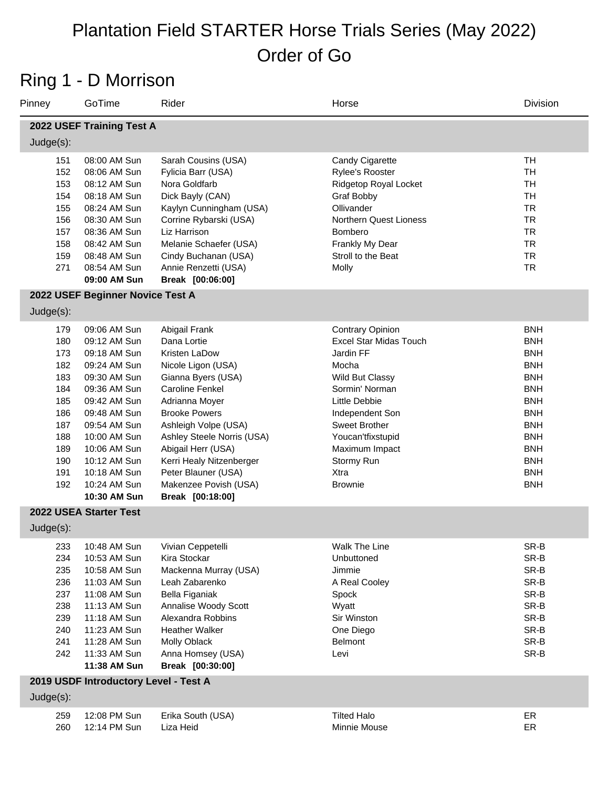#### Ring 1 - D Morrison

| Pinney                                                                                                         | GoTime                                                                                                                                                                                                                                       | Rider                                                                                                                                                                                                                                                                                                                                     | Horse                                                                                                                                                                                                                                                   | Division                                                                                                                                                                                         |
|----------------------------------------------------------------------------------------------------------------|----------------------------------------------------------------------------------------------------------------------------------------------------------------------------------------------------------------------------------------------|-------------------------------------------------------------------------------------------------------------------------------------------------------------------------------------------------------------------------------------------------------------------------------------------------------------------------------------------|---------------------------------------------------------------------------------------------------------------------------------------------------------------------------------------------------------------------------------------------------------|--------------------------------------------------------------------------------------------------------------------------------------------------------------------------------------------------|
|                                                                                                                | 2022 USEF Training Test A                                                                                                                                                                                                                    |                                                                                                                                                                                                                                                                                                                                           |                                                                                                                                                                                                                                                         |                                                                                                                                                                                                  |
| $Judge(s)$ :                                                                                                   |                                                                                                                                                                                                                                              |                                                                                                                                                                                                                                                                                                                                           |                                                                                                                                                                                                                                                         |                                                                                                                                                                                                  |
| 151<br>152<br>153<br>154<br>155<br>156<br>157<br>158<br>159<br>271                                             | 08:00 AM Sun<br>08:06 AM Sun<br>08:12 AM Sun<br>08:18 AM Sun<br>08:24 AM Sun<br>08:30 AM Sun<br>08:36 AM Sun<br>08:42 AM Sun<br>08:48 AM Sun<br>08:54 AM Sun<br>09:00 AM Sun                                                                 | Sarah Cousins (USA)<br>Fylicia Barr (USA)<br>Nora Goldfarb<br>Dick Bayly (CAN)<br>Kaylyn Cunningham (USA)<br>Corrine Rybarski (USA)<br>Liz Harrison<br>Melanie Schaefer (USA)<br>Cindy Buchanan (USA)<br>Annie Renzetti (USA)<br>Break [00:06:00]                                                                                         | Candy Cigarette<br>Rylee's Rooster<br>Ridgetop Royal Locket<br><b>Graf Bobby</b><br>Ollivander<br><b>Northern Quest Lioness</b><br>Bombero<br>Frankly My Dear<br>Stroll to the Beat<br>Molly                                                            | <b>TH</b><br><b>TH</b><br><b>TH</b><br><b>TH</b><br><b>TR</b><br><b>TR</b><br><b>TR</b><br><b>TR</b><br><b>TR</b><br><b>TR</b>                                                                   |
|                                                                                                                | 2022 USEF Beginner Novice Test A                                                                                                                                                                                                             |                                                                                                                                                                                                                                                                                                                                           |                                                                                                                                                                                                                                                         |                                                                                                                                                                                                  |
| $Judge(s)$ :<br>179<br>180<br>173<br>182<br>183<br>184<br>185<br>186<br>187<br>188<br>189<br>190<br>191<br>192 | 09:06 AM Sun<br>09:12 AM Sun<br>09:18 AM Sun<br>09:24 AM Sun<br>09:30 AM Sun<br>09:36 AM Sun<br>09:42 AM Sun<br>09:48 AM Sun<br>09:54 AM Sun<br>10:00 AM Sun<br>10:06 AM Sun<br>10:12 AM Sun<br>10:18 AM Sun<br>10:24 AM Sun<br>10:30 AM Sun | Abigail Frank<br>Dana Lortie<br>Kristen LaDow<br>Nicole Ligon (USA)<br>Gianna Byers (USA)<br><b>Caroline Fenkel</b><br>Adrianna Moyer<br><b>Brooke Powers</b><br>Ashleigh Volpe (USA)<br>Ashley Steele Norris (USA)<br>Abigail Herr (USA)<br>Kerri Healy Nitzenberger<br>Peter Blauner (USA)<br>Makenzee Povish (USA)<br>Break [00:18:00] | <b>Contrary Opinion</b><br><b>Excel Star Midas Touch</b><br>Jardin FF<br>Mocha<br>Wild But Classy<br>Sormin' Norman<br>Little Debbie<br>Independent Son<br>Sweet Brother<br>Youcan'tfixstupid<br>Maximum Impact<br>Stormy Run<br>Xtra<br><b>Brownie</b> | <b>BNH</b><br><b>BNH</b><br><b>BNH</b><br><b>BNH</b><br><b>BNH</b><br><b>BNH</b><br><b>BNH</b><br><b>BNH</b><br><b>BNH</b><br><b>BNH</b><br><b>BNH</b><br><b>BNH</b><br><b>BNH</b><br><b>BNH</b> |
| Judge(s):                                                                                                      | 2022 USEA Starter Test                                                                                                                                                                                                                       |                                                                                                                                                                                                                                                                                                                                           |                                                                                                                                                                                                                                                         |                                                                                                                                                                                                  |
| 233<br>234<br>235<br>236<br>237<br>238<br>239<br>240<br>241<br>242                                             | 10:48 AM Sun<br>10:53 AM Sun<br>10:58 AM Sun<br>11:03 AM Sun<br>11:08 AM Sun<br>11:13 AM Sun<br>11:18 AM Sun<br>11:23 AM Sun<br>11:28 AM Sun<br>11:33 AM Sun<br>11:38 AM Sun                                                                 | Vivian Ceppetelli<br>Kira Stockar<br>Mackenna Murray (USA)<br>Leah Zabarenko<br>Bella Figaniak<br>Annalise Woody Scott<br>Alexandra Robbins<br><b>Heather Walker</b><br>Molly Oblack<br>Anna Homsey (USA)<br>Break [00:30:00]                                                                                                             | Walk The Line<br>Unbuttoned<br>Jimmie<br>A Real Cooley<br>Spock<br>Wyatt<br>Sir Winston<br>One Diego<br>Belmont<br>Levi                                                                                                                                 | SR-B<br>SR-B<br>SR-B<br>SR-B<br>SR-B<br>SR-B<br>SR-B<br>SR-B<br>SR-B<br>SR-B                                                                                                                     |
| $Judge(s)$ :                                                                                                   | 2019 USDF Introductory Level - Test A                                                                                                                                                                                                        |                                                                                                                                                                                                                                                                                                                                           |                                                                                                                                                                                                                                                         |                                                                                                                                                                                                  |
|                                                                                                                |                                                                                                                                                                                                                                              |                                                                                                                                                                                                                                                                                                                                           |                                                                                                                                                                                                                                                         |                                                                                                                                                                                                  |

#### 259 12:08 PM Sun Erika South (USA) Tilted Halo Tilted Halo 12:14 PM Sun Liza Heid Minnie Mouse ER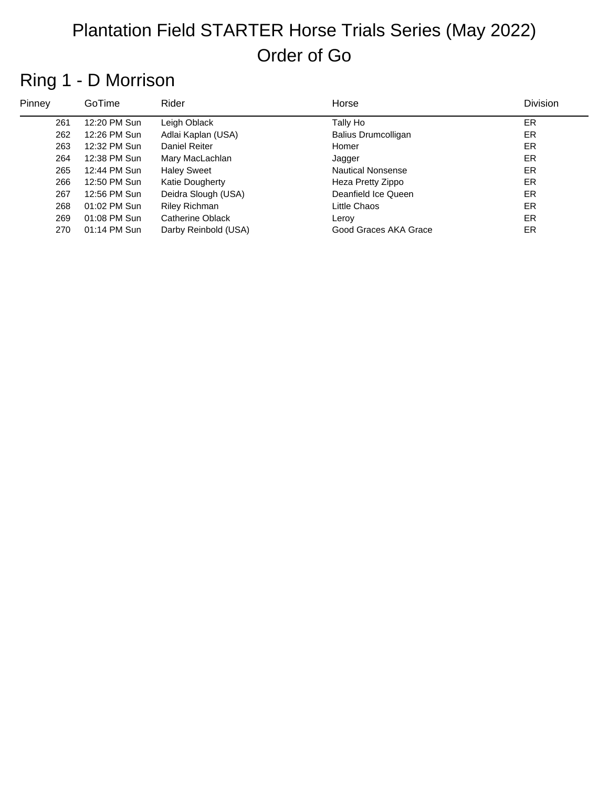## Ring 1 - D Morrison

| Pinney | GoTime         | Rider                | Horse                      | Division |
|--------|----------------|----------------------|----------------------------|----------|
| 261    | 12:20 PM Sun   | Leigh Oblack         | Tally Ho                   | ER.      |
| 262    | 12:26 PM Sun   | Adlai Kaplan (USA)   | <b>Balius Drumcolligan</b> | ER       |
| 263    | 12:32 PM Sun   | Daniel Reiter        | Homer                      | ER.      |
| 264    | 12:38 PM Sun   | Mary MacLachlan      | Jagger                     | ER.      |
| 265    | 12:44 PM Sun   | <b>Haley Sweet</b>   | <b>Nautical Nonsense</b>   | ER.      |
| 266    | 12:50 PM Sun   | Katie Dougherty      | Heza Pretty Zippo          | ER.      |
| 267    | 12:56 PM Sun   | Deidra Slough (USA)  | Deanfield Ice Queen        | ER.      |
| 268    | 01:02 PM Sun   | <b>Riley Richman</b> | Little Chaos               | ER.      |
| 269    | $01:08$ PM Sun | Catherine Oblack     | Leroy                      | ER.      |
| 270    | 01:14 PM Sun   | Darby Reinbold (USA) | Good Graces AKA Grace      | ER.      |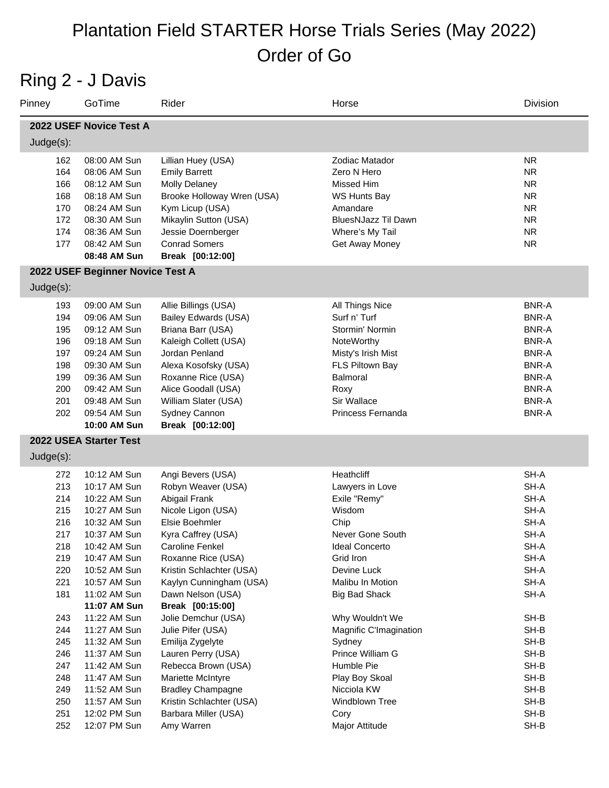#### Ring 2 - J Davis

| Pinney       | GoTime                           | Rider                                               | Horse                      | Division     |
|--------------|----------------------------------|-----------------------------------------------------|----------------------------|--------------|
|              | 2022 USEF Novice Test A          |                                                     |                            |              |
| Judge(s):    |                                  |                                                     |                            |              |
| 162          | 08:00 AM Sun                     | Lillian Huey (USA)                                  | Zodiac Matador             | <b>NR</b>    |
| 164          | 08:06 AM Sun                     | <b>Emily Barrett</b>                                | Zero N Hero                | <b>NR</b>    |
| 166          | 08:12 AM Sun                     | <b>Molly Delaney</b>                                | Missed Him                 | <b>NR</b>    |
| 168          | 08:18 AM Sun                     | Brooke Holloway Wren (USA)                          | WS Hunts Bay               | <b>NR</b>    |
| 170          | 08:24 AM Sun                     | Kym Licup (USA)                                     | Amandare                   | <b>NR</b>    |
| 172          | 08:30 AM Sun                     | Mikaylin Sutton (USA)                               | <b>BluesNJazz Til Dawn</b> | <b>NR</b>    |
| 174          | 08:36 AM Sun                     | Jessie Doernberger                                  | Where's My Tail            | <b>NR</b>    |
| 177          | 08:42 AM Sun                     | <b>Conrad Somers</b>                                | Get Away Money             | <b>NR</b>    |
|              | 08:48 AM Sun                     | Break [00:12:00]                                    |                            |              |
|              | 2022 USEF Beginner Novice Test A |                                                     |                            |              |
| Judge(s):    |                                  |                                                     |                            |              |
| 193          | 09:00 AM Sun                     | Allie Billings (USA)                                | All Things Nice            | <b>BNR-A</b> |
| 194          | 09:06 AM Sun                     | Bailey Edwards (USA)                                | Surf n' Turf               | <b>BNR-A</b> |
| 195          | 09:12 AM Sun                     | Briana Barr (USA)                                   | Stormin' Normin            | <b>BNR-A</b> |
| 196          | 09:18 AM Sun                     | Kaleigh Collett (USA)                               | NoteWorthy                 | <b>BNR-A</b> |
| 197          | 09:24 AM Sun                     | Jordan Penland                                      | Misty's Irish Mist         | <b>BNR-A</b> |
| 198          | 09:30 AM Sun                     | Alexa Kosofsky (USA)                                | FLS Piltown Bay            | <b>BNR-A</b> |
| 199          | 09:36 AM Sun                     | Roxanne Rice (USA)                                  | Balmoral                   | <b>BNR-A</b> |
| 200          | 09:42 AM Sun                     | Alice Goodall (USA)                                 | Roxy                       | <b>BNR-A</b> |
| 201          | 09:48 AM Sun                     | William Slater (USA)                                | Sir Wallace                | <b>BNR-A</b> |
| 202          | 09:54 AM Sun<br>10:00 AM Sun     | Sydney Cannon<br>Break [00:12:00]                   | Princess Fernanda          | <b>BNR-A</b> |
|              | 2022 USEA Starter Test           |                                                     |                            |              |
|              |                                  |                                                     |                            |              |
| $Judge(s)$ : |                                  |                                                     |                            |              |
| 272          | 10:12 AM Sun                     | Angi Bevers (USA)                                   | Heathcliff                 | SH-A         |
| 213          | 10:17 AM Sun                     | Robyn Weaver (USA)                                  | Lawyers in Love            | SH-A         |
| 214          | 10:22 AM Sun                     | Abigail Frank                                       | Exile "Remy"               | SH-A         |
| 215          | 10:27 AM Sun                     | Nicole Ligon (USA)                                  | Wisdom                     | SH-A         |
| 216          | 10:32 AM Sun                     | Elsie Boehmler                                      | Chip                       | SH-A         |
| 217          | 10:37 AM Sun                     | Kyra Caffrey (USA)                                  | Never Gone South           | SH-A         |
| 218          | 10:42 AM Sun                     | Caroline Fenkel                                     | <b>Ideal Concerto</b>      | SH-A         |
| 219<br>220   | 10:47 AM Sun<br>10:52 AM Sun     | Roxanne Rice (USA)                                  | Grid Iron<br>Devine Luck   | SH-A<br>SH-A |
| 221          | 10:57 AM Sun                     | Kristin Schlachter (USA)<br>Kaylyn Cunningham (USA) | Malibu In Motion           | SH-A         |
| 181          | 11:02 AM Sun                     | Dawn Nelson (USA)                                   | <b>Big Bad Shack</b>       | SH-A         |
|              | 11:07 AM Sun                     | Break [00:15:00]                                    |                            |              |
| 243          | 11:22 AM Sun                     | Jolie Demchur (USA)                                 | Why Wouldn't We            | SH-B         |
| 244          | 11:27 AM Sun                     | Julie Pifer (USA)                                   | Magnific C'Imagination     | SH-B         |
| 245          | 11:32 AM Sun                     | Emilija Zygelyte                                    | Sydney                     | SH-B         |
| 246          | 11:37 AM Sun                     | Lauren Perry (USA)                                  | Prince William G           | SH-B         |
| 247          | 11:42 AM Sun                     | Rebecca Brown (USA)                                 | Humble Pie                 | SH-B         |
| 248          | 11:47 AM Sun                     | Mariette McIntyre                                   | Play Boy Skoal             | SH-B         |
| 249          | 11:52 AM Sun                     | <b>Bradley Champagne</b>                            | Nicciola KW                | SH-B         |
| 250          | 11:57 AM Sun                     | Kristin Schlachter (USA)                            | Windblown Tree             | SH-B         |
| 251          | 12:02 PM Sun                     | Barbara Miller (USA)                                | Cory                       | SH-B         |
| 252          | 12:07 PM Sun                     | Amy Warren                                          | Major Attitude             | SH-B         |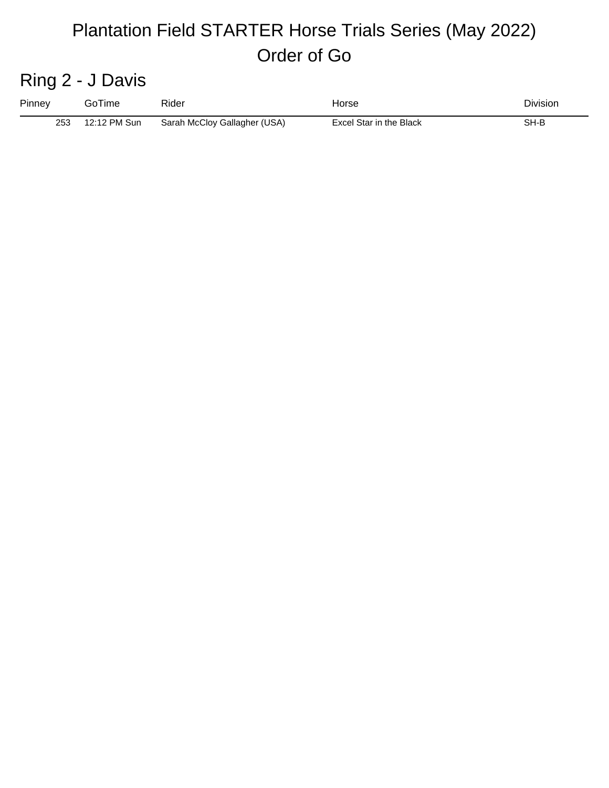#### Ring 2 - J Davis

| Pinney | GoTime       | Rider                        | Horse                   | Division |
|--------|--------------|------------------------------|-------------------------|----------|
| 253    | 12:12 PM Sun | Sarah McCloy Gallagher (USA) | Excel Star in the Black | SH-B     |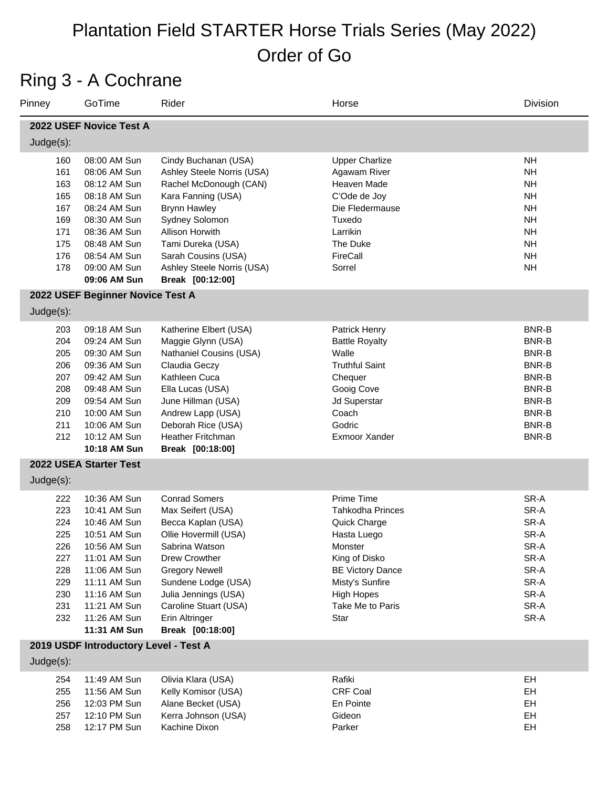#### Ring 3 - A Cochrane

| Pinney                                                                    | GoTime                                                                                                                                                                                       | Rider                                                                                                                                                                                                                                                              | Horse                                                                                                                                                                                           | Division                                                                                                                       |
|---------------------------------------------------------------------------|----------------------------------------------------------------------------------------------------------------------------------------------------------------------------------------------|--------------------------------------------------------------------------------------------------------------------------------------------------------------------------------------------------------------------------------------------------------------------|-------------------------------------------------------------------------------------------------------------------------------------------------------------------------------------------------|--------------------------------------------------------------------------------------------------------------------------------|
|                                                                           | 2022 USEF Novice Test A                                                                                                                                                                      |                                                                                                                                                                                                                                                                    |                                                                                                                                                                                                 |                                                                                                                                |
| Judge(s):                                                                 |                                                                                                                                                                                              |                                                                                                                                                                                                                                                                    |                                                                                                                                                                                                 |                                                                                                                                |
| 160<br>161<br>163<br>165<br>167<br>169<br>171<br>175<br>176<br>178        | 08:00 AM Sun<br>08:06 AM Sun<br>08:12 AM Sun<br>08:18 AM Sun<br>08:24 AM Sun<br>08:30 AM Sun<br>08:36 AM Sun<br>08:48 AM Sun<br>08:54 AM Sun<br>09:00 AM Sun<br>09:06 AM Sun                 | Cindy Buchanan (USA)<br>Ashley Steele Norris (USA)<br>Rachel McDonough (CAN)<br>Kara Fanning (USA)<br><b>Brynn Hawley</b><br>Sydney Solomon<br>Allison Horwith<br>Tami Dureka (USA)<br>Sarah Cousins (USA)<br>Ashley Steele Norris (USA)<br>Break [00:12:00]       | <b>Upper Charlize</b><br>Agawam River<br>Heaven Made<br>C'Ode de Joy<br>Die Fledermause<br>Tuxedo<br>Larrikin<br>The Duke<br>FireCall<br>Sorrel                                                 | <b>NH</b><br><b>NH</b><br><b>NH</b><br><b>NH</b><br><b>NH</b><br><b>NH</b><br><b>NH</b><br><b>NH</b><br><b>NH</b><br><b>NH</b> |
|                                                                           | 2022 USEF Beginner Novice Test A                                                                                                                                                             |                                                                                                                                                                                                                                                                    |                                                                                                                                                                                                 |                                                                                                                                |
| $Judge(s)$ :                                                              |                                                                                                                                                                                              |                                                                                                                                                                                                                                                                    |                                                                                                                                                                                                 |                                                                                                                                |
| 203<br>204<br>205<br>206<br>207<br>208<br>209<br>210<br>211<br>212        | 09:18 AM Sun<br>09:24 AM Sun<br>09:30 AM Sun<br>09:36 AM Sun<br>09:42 AM Sun<br>09:48 AM Sun<br>09:54 AM Sun<br>10:00 AM Sun<br>10:06 AM Sun<br>10:12 AM Sun<br>10:18 AM Sun                 | Katherine Elbert (USA)<br>Maggie Glynn (USA)<br>Nathaniel Cousins (USA)<br>Claudia Geczy<br>Kathleen Cuca<br>Ella Lucas (USA)<br>June Hillman (USA)<br>Andrew Lapp (USA)<br>Deborah Rice (USA)<br><b>Heather Fritchman</b><br>Break [00:18:00]                     | Patrick Henry<br><b>Battle Royalty</b><br>Walle<br><b>Truthful Saint</b><br>Chequer<br>Gooig Cove<br>Jd Superstar<br>Coach<br>Godric<br>Exmoor Xander                                           | <b>BNR-B</b><br>BNR-B<br>BNR-B<br>BNR-B<br>BNR-B<br>BNR-B<br>BNR-B<br>BNR-B<br>BNR-B<br><b>BNR-B</b>                           |
|                                                                           | 2022 USEA Starter Test                                                                                                                                                                       |                                                                                                                                                                                                                                                                    |                                                                                                                                                                                                 |                                                                                                                                |
| $Judge(s)$ :                                                              |                                                                                                                                                                                              |                                                                                                                                                                                                                                                                    |                                                                                                                                                                                                 |                                                                                                                                |
| 222<br>223<br>224<br>225<br>226<br>227<br>228<br>229<br>230<br>231<br>232 | 10:36 AM Sun<br>10:41 AM Sun<br>10:46 AM Sun<br>10:51 AM Sun<br>10:56 AM Sun<br>11:01 AM Sun<br>11:06 AM Sun<br>11:11 AM Sun<br>11:16 AM Sun<br>11:21 AM Sun<br>11:26 AM Sun<br>11:31 AM Sun | <b>Conrad Somers</b><br>Max Seifert (USA)<br>Becca Kaplan (USA)<br>Ollie Hovermill (USA)<br>Sabrina Watson<br>Drew Crowther<br><b>Gregory Newell</b><br>Sundene Lodge (USA)<br>Julia Jennings (USA)<br>Caroline Stuart (USA)<br>Erin Altringer<br>Break [00:18:00] | Prime Time<br><b>Tahkodha Princes</b><br>Quick Charge<br>Hasta Luego<br>Monster<br>King of Disko<br><b>BE Victory Dance</b><br>Misty's Sunfire<br><b>High Hopes</b><br>Take Me to Paris<br>Star | SR-A<br>SR-A<br>SR-A<br>SR-A<br>SR-A<br>SR-A<br>SR-A<br>SR-A<br>SR-A<br>SR-A<br>SR-A                                           |
|                                                                           | 2019 USDF Introductory Level - Test A                                                                                                                                                        |                                                                                                                                                                                                                                                                    |                                                                                                                                                                                                 |                                                                                                                                |
| Judge(s):                                                                 |                                                                                                                                                                                              |                                                                                                                                                                                                                                                                    |                                                                                                                                                                                                 |                                                                                                                                |
| 254<br>255<br>256<br>257                                                  | 11:49 AM Sun<br>11:56 AM Sun<br>12:03 PM Sun<br>12:10 PM Sun                                                                                                                                 | Olivia Klara (USA)<br>Kelly Komisor (USA)<br>Alane Becket (USA)<br>Kerra Johnson (USA)                                                                                                                                                                             | Rafiki<br>CRF Coal<br>En Pointe<br>Gideon                                                                                                                                                       | EH<br>EH<br>EH<br>EH                                                                                                           |

12:17 PM Sun Kachine Dixon Parker EH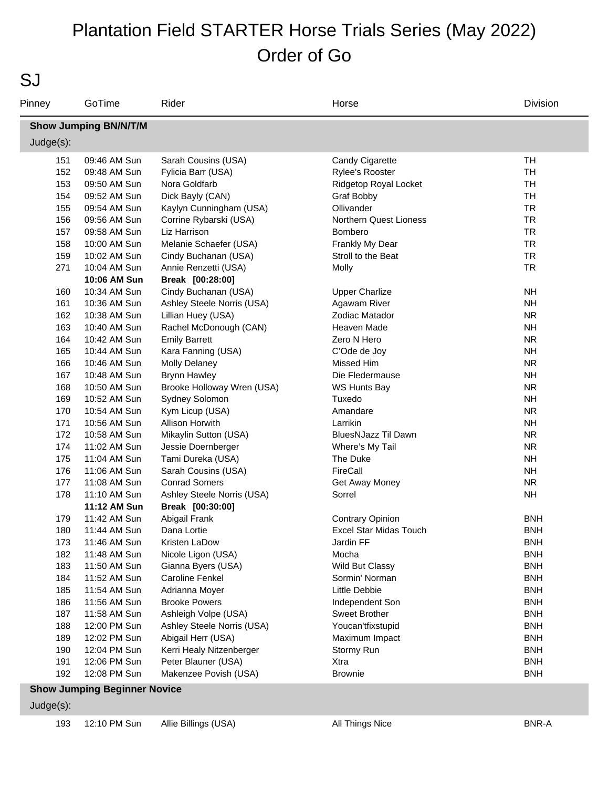SJ

| Pinney    | GoTime                       | Rider                      | Horse                         | Division   |
|-----------|------------------------------|----------------------------|-------------------------------|------------|
|           | <b>Show Jumping BN/N/T/M</b> |                            |                               |            |
| Judge(s): |                              |                            |                               |            |
| 151       | 09:46 AM Sun                 | Sarah Cousins (USA)        | Candy Cigarette               | TH         |
| 152       | 09:48 AM Sun                 | Fylicia Barr (USA)         | <b>Rylee's Rooster</b>        | <b>TH</b>  |
| 153       | 09:50 AM Sun                 | Nora Goldfarb              | Ridgetop Royal Locket         | <b>TH</b>  |
| 154       | 09:52 AM Sun                 | Dick Bayly (CAN)           | Graf Bobby                    | <b>TH</b>  |
| 155       | 09:54 AM Sun                 | Kaylyn Cunningham (USA)    | Ollivander                    | <b>TR</b>  |
| 156       | 09:56 AM Sun                 | Corrine Rybarski (USA)     | <b>Northern Quest Lioness</b> | <b>TR</b>  |
| 157       | 09:58 AM Sun                 | Liz Harrison               | Bombero                       | <b>TR</b>  |
| 158       | 10:00 AM Sun                 | Melanie Schaefer (USA)     | Frankly My Dear               | <b>TR</b>  |
| 159       | 10:02 AM Sun                 | Cindy Buchanan (USA)       | Stroll to the Beat            | <b>TR</b>  |
| 271       | 10:04 AM Sun                 | Annie Renzetti (USA)       | Molly                         | <b>TR</b>  |
|           | 10:06 AM Sun                 | Break [00:28:00]           |                               |            |
| 160       | 10:34 AM Sun                 | Cindy Buchanan (USA)       | <b>Upper Charlize</b>         | <b>NH</b>  |
| 161       | 10:36 AM Sun                 | Ashley Steele Norris (USA) | Agawam River                  | <b>NH</b>  |
| 162       | 10:38 AM Sun                 | Lillian Huey (USA)         | Zodiac Matador                | <b>NR</b>  |
| 163       | 10:40 AM Sun                 | Rachel McDonough (CAN)     | <b>Heaven Made</b>            | <b>NH</b>  |
| 164       | 10:42 AM Sun                 | <b>Emily Barrett</b>       | Zero N Hero                   | <b>NR</b>  |
| 165       | 10:44 AM Sun                 | Kara Fanning (USA)         | C'Ode de Joy                  | <b>NH</b>  |
| 166       | 10:46 AM Sun                 | <b>Molly Delaney</b>       | Missed Him                    | <b>NR</b>  |
| 167       | 10:48 AM Sun                 | <b>Brynn Hawley</b>        | Die Fledermause               | <b>NH</b>  |
| 168       | 10:50 AM Sun                 | Brooke Holloway Wren (USA) | WS Hunts Bay                  | <b>NR</b>  |
| 169       | 10:52 AM Sun                 | Sydney Solomon             | Tuxedo                        | <b>NH</b>  |
| 170       | 10:54 AM Sun                 | Kym Licup (USA)            | Amandare                      | <b>NR</b>  |
| 171       | 10:56 AM Sun                 | Allison Horwith            | Larrikin                      | <b>NH</b>  |
| 172       | 10:58 AM Sun                 | Mikaylin Sutton (USA)      | BluesNJazz Til Dawn           | <b>NR</b>  |
| 174       | 11:02 AM Sun                 | Jessie Doernberger         | Where's My Tail               | <b>NR</b>  |
| 175       | 11:04 AM Sun                 | Tami Dureka (USA)          | The Duke                      | <b>NH</b>  |
| 176       | 11:06 AM Sun                 | Sarah Cousins (USA)        | FireCall                      | <b>NH</b>  |
| 177       | 11:08 AM Sun                 | <b>Conrad Somers</b>       | Get Away Money                | <b>NR</b>  |
| 178       | 11:10 AM Sun                 | Ashley Steele Norris (USA) | Sorrel                        | <b>NH</b>  |
|           | 11:12 AM Sun                 | Break [00:30:00]           |                               |            |
| 179       | 11:42 AM Sun                 | Abigail Frank              | <b>Contrary Opinion</b>       | <b>BNH</b> |
| 180       | 11:44 AM Sun                 | Dana Lortie                | Excel Star Midas Touch        | <b>BNH</b> |
| 173       | 11:46 AM Sun                 | Kristen LaDow              | Jardin FF                     | <b>BNH</b> |
| 182       | 11:48 AM Sun                 | Nicole Ligon (USA)         | Mocha                         | <b>BNH</b> |
| 183       | 11:50 AM Sun                 | Gianna Byers (USA)         | Wild But Classy               | <b>BNH</b> |
| 184       | 11:52 AM Sun                 | <b>Caroline Fenkel</b>     | Sormin' Norman                | <b>BNH</b> |
| 185       | 11:54 AM Sun                 | Adrianna Moyer             | Little Debbie                 | <b>BNH</b> |
| 186       | 11:56 AM Sun                 | <b>Brooke Powers</b>       | Independent Son               | <b>BNH</b> |
| 187       | 11:58 AM Sun                 | Ashleigh Volpe (USA)       | Sweet Brother                 | <b>BNH</b> |
| 188       | 12:00 PM Sun                 | Ashley Steele Norris (USA) | Youcan'tfixstupid             | <b>BNH</b> |
| 189       | 12:02 PM Sun                 | Abigail Herr (USA)         | Maximum Impact                | <b>BNH</b> |
| 190       | 12:04 PM Sun                 | Kerri Healy Nitzenberger   | Stormy Run                    | <b>BNH</b> |
| 191       | 12:06 PM Sun                 | Peter Blauner (USA)        | Xtra                          | <b>BNH</b> |
| 192       | 12:08 PM Sun                 | Makenzee Povish (USA)      | <b>Brownie</b>                | <b>BNH</b> |

#### **Show Jumping Beginner Novice**

Judge(s):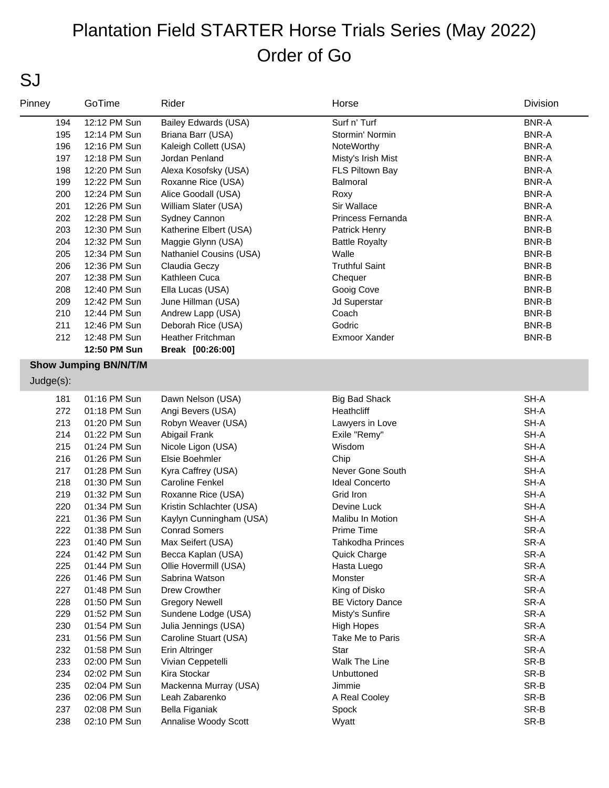#### SJ

| Pinney    | GoTime                       | Rider                    | Horse                   | Division     |
|-----------|------------------------------|--------------------------|-------------------------|--------------|
| 194       | 12:12 PM Sun                 | Bailey Edwards (USA)     | Surf n' Turf            | <b>BNR-A</b> |
| 195       | 12:14 PM Sun                 | Briana Barr (USA)        | Stormin' Normin         | <b>BNR-A</b> |
| 196       | 12:16 PM Sun                 | Kaleigh Collett (USA)    | NoteWorthy              | <b>BNR-A</b> |
| 197       | 12:18 PM Sun                 | Jordan Penland           | Misty's Irish Mist      | <b>BNR-A</b> |
| 198       | 12:20 PM Sun                 | Alexa Kosofsky (USA)     | FLS Piltown Bay         | <b>BNR-A</b> |
| 199       | 12:22 PM Sun                 | Roxanne Rice (USA)       | <b>Balmoral</b>         | <b>BNR-A</b> |
| 200       | 12:24 PM Sun                 | Alice Goodall (USA)      | Roxy                    | <b>BNR-A</b> |
| 201       | 12:26 PM Sun                 | William Slater (USA)     | Sir Wallace             | <b>BNR-A</b> |
| 202       | 12:28 PM Sun                 | Sydney Cannon            | Princess Fernanda       | <b>BNR-A</b> |
| 203       | 12:30 PM Sun                 | Katherine Elbert (USA)   | Patrick Henry           | <b>BNR-B</b> |
| 204       | 12:32 PM Sun                 | Maggie Glynn (USA)       | <b>Battle Royalty</b>   | <b>BNR-B</b> |
| 205       | 12:34 PM Sun                 | Nathaniel Cousins (USA)  | Walle                   | <b>BNR-B</b> |
| 206       | 12:36 PM Sun                 | Claudia Geczy            | <b>Truthful Saint</b>   | <b>BNR-B</b> |
| 207       | 12:38 PM Sun                 | Kathleen Cuca            | Chequer                 | <b>BNR-B</b> |
| 208       | 12:40 PM Sun                 | Ella Lucas (USA)         | Gooig Cove              | <b>BNR-B</b> |
| 209       | 12:42 PM Sun                 | June Hillman (USA)       | Jd Superstar            | <b>BNR-B</b> |
| 210       | 12:44 PM Sun                 | Andrew Lapp (USA)        | Coach                   | BNR-B        |
| 211       | 12:46 PM Sun                 | Deborah Rice (USA)       | Godric                  | BNR-B        |
| 212       | 12:48 PM Sun                 | <b>Heather Fritchman</b> | Exmoor Xander           | BNR-B        |
|           | 12:50 PM Sun                 | Break [00:26:00]         |                         |              |
|           | <b>Show Jumping BN/N/T/M</b> |                          |                         |              |
| Judge(s): |                              |                          |                         |              |
| 181       | 01:16 PM Sun                 | Dawn Nelson (USA)        | <b>Big Bad Shack</b>    | $SH-A$       |
| 272       | 01:18 PM Sun                 | Angi Bevers (USA)        | Heathcliff              | SH-A         |
| 213       | 01:20 PM Sun                 | Robyn Weaver (USA)       | Lawyers in Love         | SH-A         |
| 214       | 01:22 PM Sun                 | Abigail Frank            | Exile "Remy"            | SH-A         |
| 215       | 01:24 PM Sun                 | Nicole Ligon (USA)       | Wisdom                  | SH-A         |
| 216       | 01:26 PM Sun                 | Elsie Boehmler           | Chip                    | SH-A         |
| 217       | 01:28 PM Sun                 | Kyra Caffrey (USA)       | Never Gone South        | SH-A         |
| 218       | 01:30 PM Sun                 | <b>Caroline Fenkel</b>   | <b>Ideal Concerto</b>   | SH-A         |
| 219       | 01:32 PM Sun                 | Roxanne Rice (USA)       | Grid Iron               | SH-A         |
| 220       | 01:34 PM Sun                 | Kristin Schlachter (USA) | Devine Luck             | SH-A         |
| 221       | 01:36 PM Sun                 | Kaylyn Cunningham (USA)  | Malibu In Motion        | SH-A         |
| 222       | 01:38 PM Sun                 | <b>Conrad Somers</b>     | Prime Time              | SR-A         |
| 223       | 01:40 PM Sun                 | Max Seifert (USA)        | Tahkodha Princes        | SR-A         |
| 224       | 01:42 PM Sun                 | Becca Kaplan (USA)       | Quick Charge            | SR-A         |
| 225       | 01:44 PM Sun                 | Ollie Hovermill (USA)    | Hasta Luego             | SR-A         |
| 226       | 01:46 PM Sun                 | Sabrina Watson           | Monster                 | SR-A         |
| 227       | 01:48 PM Sun                 | Drew Crowther            | King of Disko           | SR-A         |
| 228       | 01:50 PM Sun                 | <b>Gregory Newell</b>    | <b>BE Victory Dance</b> | SR-A         |
| 229       | 01:52 PM Sun                 | Sundene Lodge (USA)      | Misty's Sunfire         | SR-A         |
| 230       | 01:54 PM Sun                 | Julia Jennings (USA)     | <b>High Hopes</b>       | SR-A         |
| 231       | 01:56 PM Sun                 | Caroline Stuart (USA)    | Take Me to Paris        | SR-A         |
| 232       | 01:58 PM Sun                 | Erin Altringer           | Star                    | SR-A         |
| 233       | 02:00 PM Sun                 | Vivian Ceppetelli        | Walk The Line           | SR-B         |
| 234       | 02:02 PM Sun                 | Kira Stockar             | Unbuttoned              | SR-B         |
| 235       | 02:04 PM Sun                 | Mackenna Murray (USA)    | Jimmie                  | SR-B         |
| 236       | 02:06 PM Sun                 | Leah Zabarenko           | A Real Cooley           | SR-B         |
| 237       | 02:08 PM Sun                 | Bella Figaniak           | Spock                   | SR-B         |
| 238       | 02:10 PM Sun                 | Annalise Woody Scott     | Wyatt                   | SR-B         |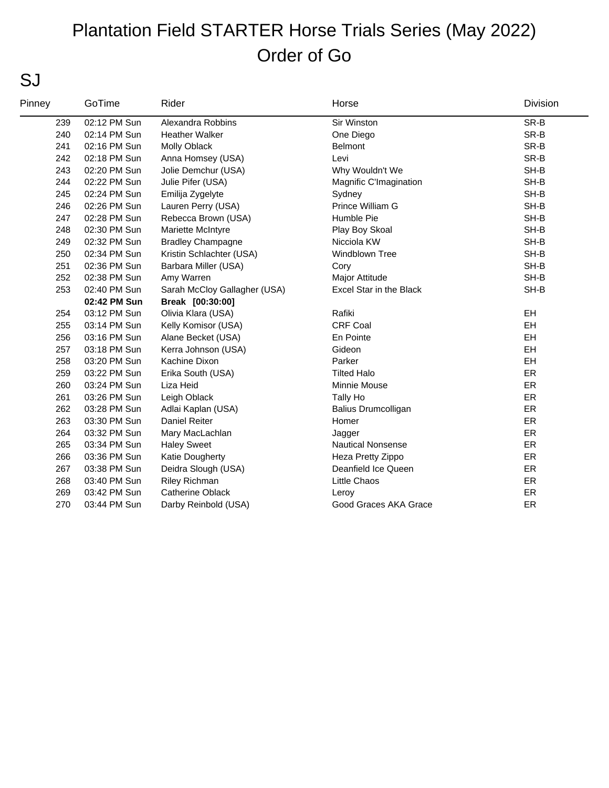#### SJ

| Pinney | GoTime       | Rider                        | Horse                    | Division  |
|--------|--------------|------------------------------|--------------------------|-----------|
| 239    | 02:12 PM Sun | Alexandra Robbins            | Sir Winston              | SR-B      |
| 240    | 02:14 PM Sun | <b>Heather Walker</b>        | One Diego                | SR-B      |
| 241    | 02:16 PM Sun | Molly Oblack                 | <b>Belmont</b>           | SR-B      |
| 242    | 02:18 PM Sun | Anna Homsey (USA)            | Levi                     | SR-B      |
| 243    | 02:20 PM Sun | Jolie Demchur (USA)          | Why Wouldn't We          | SH-B      |
| 244    | 02:22 PM Sun | Julie Pifer (USA)            | Magnific C'Imagination   | SH-B      |
| 245    | 02:24 PM Sun | Emilija Zygelyte             | Sydney                   | SH-B      |
| 246    | 02:26 PM Sun | Lauren Perry (USA)           | Prince William G         | SH-B      |
| 247    | 02:28 PM Sun | Rebecca Brown (USA)          | Humble Pie               | SH-B      |
| 248    | 02:30 PM Sun | Mariette McIntyre            | Play Boy Skoal           | SH-B      |
| 249    | 02:32 PM Sun | <b>Bradley Champagne</b>     | Nicciola KW              | SH-B      |
| 250    | 02:34 PM Sun | Kristin Schlachter (USA)     | <b>Windblown Tree</b>    | SH-B      |
| 251    | 02:36 PM Sun | Barbara Miller (USA)         | Cory                     | SH-B      |
| 252    | 02:38 PM Sun | Amy Warren                   | Major Attitude           | SH-B      |
| 253    | 02:40 PM Sun | Sarah McCloy Gallagher (USA) | Excel Star in the Black  | SH-B      |
|        | 02:42 PM Sun | Break [00:30:00]             |                          |           |
| 254    | 03:12 PM Sun | Olivia Klara (USA)           | Rafiki                   | <b>EH</b> |
| 255    | 03:14 PM Sun | Kelly Komisor (USA)          | <b>CRF Coal</b>          | EH        |
| 256    | 03:16 PM Sun | Alane Becket (USA)           | En Pointe                | EH        |
| 257    | 03:18 PM Sun | Kerra Johnson (USA)          | Gideon                   | <b>EH</b> |
| 258    | 03:20 PM Sun | Kachine Dixon                | Parker                   | EH        |
| 259    | 03:22 PM Sun | Erika South (USA)            | <b>Tilted Halo</b>       | ER        |
| 260    | 03:24 PM Sun | Liza Heid                    | Minnie Mouse             | ER        |
| 261    | 03:26 PM Sun | Leigh Oblack                 | Tally Ho                 | ER        |
| 262    | 03:28 PM Sun | Adlai Kaplan (USA)           | Balius Drumcolligan      | ER        |
| 263    | 03:30 PM Sun | <b>Daniel Reiter</b>         | Homer                    | ER        |
| 264    | 03:32 PM Sun | Mary MacLachlan              | Jagger                   | ER        |
| 265    | 03:34 PM Sun | <b>Haley Sweet</b>           | <b>Nautical Nonsense</b> | ER        |
| 266    | 03:36 PM Sun | Katie Dougherty              | Heza Pretty Zippo        | ER        |
| 267    | 03:38 PM Sun | Deidra Slough (USA)          | Deanfield Ice Queen      | ER        |
| 268    | 03:40 PM Sun | Riley Richman                | Little Chaos             | ER        |
| 269    | 03:42 PM Sun | <b>Catherine Oblack</b>      | Leroy                    | ER        |
| 270    | 03:44 PM Sun | Darby Reinbold (USA)         | Good Graces AKA Grace    | ER        |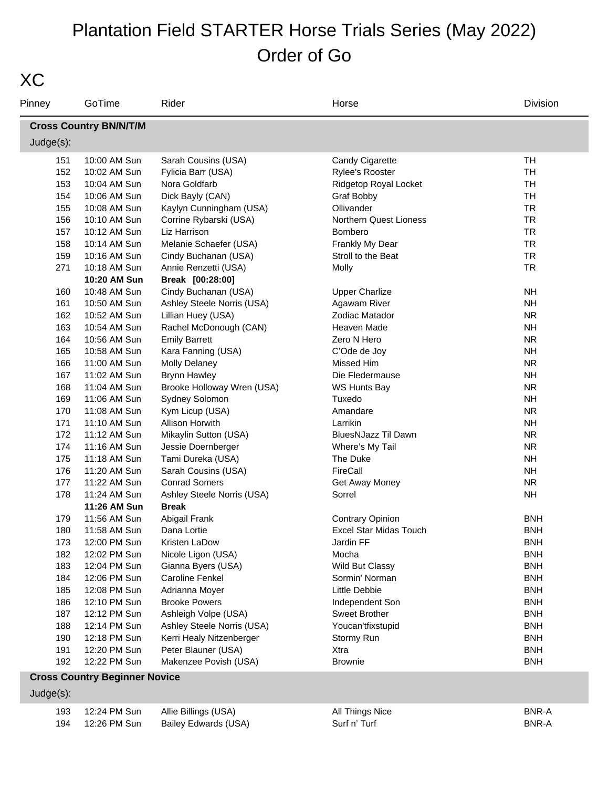| I       |  |
|---------|--|
| ×<br>۰, |  |

| <b>Cross Country BN/N/T/M</b><br>$Judge(s)$ :<br><b>TH</b><br>10:00 AM Sun<br>Sarah Cousins (USA)<br>Candy Cigarette<br>151<br>152<br><b>TH</b><br>10:02 AM Sun<br>Fylicia Barr (USA)<br>Rylee's Rooster<br>153<br><b>TH</b><br>10:04 AM Sun<br>Nora Goldfarb<br>Ridgetop Royal Locket<br><b>TH</b><br>154<br>10:06 AM Sun<br>Dick Bayly (CAN)<br>Graf Bobby<br>Ollivander<br><b>TR</b><br>155<br>10:08 AM Sun<br>Kaylyn Cunningham (USA)<br>Northern Quest Lioness<br><b>TR</b><br>156<br>10:10 AM Sun<br>Corrine Rybarski (USA)<br><b>TR</b><br>157<br>10:12 AM Sun<br>Liz Harrison<br>Bombero<br><b>TR</b><br>158<br>10:14 AM Sun<br>Melanie Schaefer (USA)<br>Frankly My Dear<br><b>TR</b><br>159<br>10:16 AM Sun<br>Cindy Buchanan (USA)<br>Stroll to the Beat<br><b>TR</b><br>271<br>10:18 AM Sun<br>Annie Renzetti (USA)<br>Molly<br>10:20 AM Sun<br>Break [00:28:00]<br>Cindy Buchanan (USA)<br><b>NH</b><br>160<br>10:48 AM Sun<br><b>Upper Charlize</b><br><b>NH</b><br>161<br>10:50 AM Sun<br>Ashley Steele Norris (USA)<br>Agawam River<br>162<br><b>NR</b><br>10:52 AM Sun<br>Lillian Huey (USA)<br>Zodiac Matador<br>163<br><b>NH</b><br>10:54 AM Sun<br>Rachel McDonough (CAN)<br>Heaven Made<br><b>NR</b><br>164<br>10:56 AM Sun<br><b>Emily Barrett</b><br>Zero N Hero<br><b>NH</b><br>165<br>Kara Fanning (USA)<br>C'Ode de Joy<br>10:58 AM Sun<br><b>NR</b><br>166<br><b>Molly Delaney</b><br>Missed Him<br>11:00 AM Sun<br>167<br><b>NH</b><br><b>Brynn Hawley</b><br>Die Fledermause<br>11:02 AM Sun<br>Brooke Holloway Wren (USA)<br><b>NR</b><br>168<br>11:04 AM Sun<br>WS Hunts Bay<br><b>NH</b><br>169<br>11:06 AM Sun<br>Sydney Solomon<br>Tuxedo<br><b>NR</b><br>170<br>11:08 AM Sun<br>Kym Licup (USA)<br>Amandare<br><b>NH</b><br>171<br>11:10 AM Sun<br>Allison Horwith<br>Larrikin<br>172<br><b>NR</b><br>11:12 AM Sun<br>Mikaylin Sutton (USA)<br>BluesNJazz Til Dawn<br><b>NR</b><br>174<br>11:16 AM Sun<br>Jessie Doernberger<br>Where's My Tail<br><b>NH</b><br>175<br>11:18 AM Sun<br>Tami Dureka (USA)<br>The Duke<br>FireCall<br><b>NH</b><br>176<br>11:20 AM Sun<br>Sarah Cousins (USA)<br><b>Conrad Somers</b><br><b>NR</b><br>177<br>11:22 AM Sun<br>Get Away Money<br>178<br>11:24 AM Sun<br>Ashley Steele Norris (USA)<br>Sorrel<br><b>NH</b><br>11:26 AM Sun<br><b>Break</b><br>179<br>11:56 AM Sun<br>Abigail Frank<br><b>Contrary Opinion</b><br><b>BNH</b><br><b>Excel Star Midas Touch</b><br>11:58 AM Sun<br><b>BNH</b><br>180<br>Dana Lortie<br>Jardin FF<br><b>BNH</b><br>173<br>12:00 PM Sun<br>Kristen LaDow<br>182<br>12:02 PM Sun<br><b>BNH</b><br>Nicole Ligon (USA)<br>Mocha<br>183<br><b>BNH</b><br>12:04 PM Sun<br>Gianna Byers (USA)<br>Wild But Classy<br><b>BNH</b><br>184<br>12:06 PM Sun<br><b>Caroline Fenkel</b><br>Sormin' Norman<br><b>BNH</b><br>185<br>12:08 PM Sun<br>Adrianna Moyer<br>Little Debbie<br><b>BNH</b><br>186<br>12:10 PM Sun<br><b>Brooke Powers</b><br>Independent Son<br>187<br>12:12 PM Sun<br>Ashleigh Volpe (USA)<br><b>Sweet Brother</b><br><b>BNH</b><br>Youcan'tfixstupid<br><b>BNH</b><br>188<br>12:14 PM Sun<br>Ashley Steele Norris (USA)<br><b>BNH</b><br>190<br>12:18 PM Sun<br>Kerri Healy Nitzenberger<br>Stormy Run | Pinney | GoTime       | Rider               | Horse | Division   |
|--------------------------------------------------------------------------------------------------------------------------------------------------------------------------------------------------------------------------------------------------------------------------------------------------------------------------------------------------------------------------------------------------------------------------------------------------------------------------------------------------------------------------------------------------------------------------------------------------------------------------------------------------------------------------------------------------------------------------------------------------------------------------------------------------------------------------------------------------------------------------------------------------------------------------------------------------------------------------------------------------------------------------------------------------------------------------------------------------------------------------------------------------------------------------------------------------------------------------------------------------------------------------------------------------------------------------------------------------------------------------------------------------------------------------------------------------------------------------------------------------------------------------------------------------------------------------------------------------------------------------------------------------------------------------------------------------------------------------------------------------------------------------------------------------------------------------------------------------------------------------------------------------------------------------------------------------------------------------------------------------------------------------------------------------------------------------------------------------------------------------------------------------------------------------------------------------------------------------------------------------------------------------------------------------------------------------------------------------------------------------------------------------------------------------------------------------------------------------------------------------------------------------------------------------------------------------------------------------------------------------------------------------------------------------------------------------------------------------------------------------------------------------------------------------------------------------------------------------------------------------------------------------------------------------------------------------------------------------------------------------------------------------------------------------------------------------------------------------------------------------------------------------------------------------------------------------------------------------|--------|--------------|---------------------|-------|------------|
|                                                                                                                                                                                                                                                                                                                                                                                                                                                                                                                                                                                                                                                                                                                                                                                                                                                                                                                                                                                                                                                                                                                                                                                                                                                                                                                                                                                                                                                                                                                                                                                                                                                                                                                                                                                                                                                                                                                                                                                                                                                                                                                                                                                                                                                                                                                                                                                                                                                                                                                                                                                                                                                                                                                                                                                                                                                                                                                                                                                                                                                                                                                                                                                                                          |        |              |                     |       |            |
|                                                                                                                                                                                                                                                                                                                                                                                                                                                                                                                                                                                                                                                                                                                                                                                                                                                                                                                                                                                                                                                                                                                                                                                                                                                                                                                                                                                                                                                                                                                                                                                                                                                                                                                                                                                                                                                                                                                                                                                                                                                                                                                                                                                                                                                                                                                                                                                                                                                                                                                                                                                                                                                                                                                                                                                                                                                                                                                                                                                                                                                                                                                                                                                                                          |        |              |                     |       |            |
|                                                                                                                                                                                                                                                                                                                                                                                                                                                                                                                                                                                                                                                                                                                                                                                                                                                                                                                                                                                                                                                                                                                                                                                                                                                                                                                                                                                                                                                                                                                                                                                                                                                                                                                                                                                                                                                                                                                                                                                                                                                                                                                                                                                                                                                                                                                                                                                                                                                                                                                                                                                                                                                                                                                                                                                                                                                                                                                                                                                                                                                                                                                                                                                                                          |        |              |                     |       |            |
|                                                                                                                                                                                                                                                                                                                                                                                                                                                                                                                                                                                                                                                                                                                                                                                                                                                                                                                                                                                                                                                                                                                                                                                                                                                                                                                                                                                                                                                                                                                                                                                                                                                                                                                                                                                                                                                                                                                                                                                                                                                                                                                                                                                                                                                                                                                                                                                                                                                                                                                                                                                                                                                                                                                                                                                                                                                                                                                                                                                                                                                                                                                                                                                                                          |        |              |                     |       |            |
|                                                                                                                                                                                                                                                                                                                                                                                                                                                                                                                                                                                                                                                                                                                                                                                                                                                                                                                                                                                                                                                                                                                                                                                                                                                                                                                                                                                                                                                                                                                                                                                                                                                                                                                                                                                                                                                                                                                                                                                                                                                                                                                                                                                                                                                                                                                                                                                                                                                                                                                                                                                                                                                                                                                                                                                                                                                                                                                                                                                                                                                                                                                                                                                                                          |        |              |                     |       |            |
|                                                                                                                                                                                                                                                                                                                                                                                                                                                                                                                                                                                                                                                                                                                                                                                                                                                                                                                                                                                                                                                                                                                                                                                                                                                                                                                                                                                                                                                                                                                                                                                                                                                                                                                                                                                                                                                                                                                                                                                                                                                                                                                                                                                                                                                                                                                                                                                                                                                                                                                                                                                                                                                                                                                                                                                                                                                                                                                                                                                                                                                                                                                                                                                                                          |        |              |                     |       |            |
|                                                                                                                                                                                                                                                                                                                                                                                                                                                                                                                                                                                                                                                                                                                                                                                                                                                                                                                                                                                                                                                                                                                                                                                                                                                                                                                                                                                                                                                                                                                                                                                                                                                                                                                                                                                                                                                                                                                                                                                                                                                                                                                                                                                                                                                                                                                                                                                                                                                                                                                                                                                                                                                                                                                                                                                                                                                                                                                                                                                                                                                                                                                                                                                                                          |        |              |                     |       |            |
|                                                                                                                                                                                                                                                                                                                                                                                                                                                                                                                                                                                                                                                                                                                                                                                                                                                                                                                                                                                                                                                                                                                                                                                                                                                                                                                                                                                                                                                                                                                                                                                                                                                                                                                                                                                                                                                                                                                                                                                                                                                                                                                                                                                                                                                                                                                                                                                                                                                                                                                                                                                                                                                                                                                                                                                                                                                                                                                                                                                                                                                                                                                                                                                                                          |        |              |                     |       |            |
|                                                                                                                                                                                                                                                                                                                                                                                                                                                                                                                                                                                                                                                                                                                                                                                                                                                                                                                                                                                                                                                                                                                                                                                                                                                                                                                                                                                                                                                                                                                                                                                                                                                                                                                                                                                                                                                                                                                                                                                                                                                                                                                                                                                                                                                                                                                                                                                                                                                                                                                                                                                                                                                                                                                                                                                                                                                                                                                                                                                                                                                                                                                                                                                                                          |        |              |                     |       |            |
|                                                                                                                                                                                                                                                                                                                                                                                                                                                                                                                                                                                                                                                                                                                                                                                                                                                                                                                                                                                                                                                                                                                                                                                                                                                                                                                                                                                                                                                                                                                                                                                                                                                                                                                                                                                                                                                                                                                                                                                                                                                                                                                                                                                                                                                                                                                                                                                                                                                                                                                                                                                                                                                                                                                                                                                                                                                                                                                                                                                                                                                                                                                                                                                                                          |        |              |                     |       |            |
|                                                                                                                                                                                                                                                                                                                                                                                                                                                                                                                                                                                                                                                                                                                                                                                                                                                                                                                                                                                                                                                                                                                                                                                                                                                                                                                                                                                                                                                                                                                                                                                                                                                                                                                                                                                                                                                                                                                                                                                                                                                                                                                                                                                                                                                                                                                                                                                                                                                                                                                                                                                                                                                                                                                                                                                                                                                                                                                                                                                                                                                                                                                                                                                                                          |        |              |                     |       |            |
|                                                                                                                                                                                                                                                                                                                                                                                                                                                                                                                                                                                                                                                                                                                                                                                                                                                                                                                                                                                                                                                                                                                                                                                                                                                                                                                                                                                                                                                                                                                                                                                                                                                                                                                                                                                                                                                                                                                                                                                                                                                                                                                                                                                                                                                                                                                                                                                                                                                                                                                                                                                                                                                                                                                                                                                                                                                                                                                                                                                                                                                                                                                                                                                                                          |        |              |                     |       |            |
|                                                                                                                                                                                                                                                                                                                                                                                                                                                                                                                                                                                                                                                                                                                                                                                                                                                                                                                                                                                                                                                                                                                                                                                                                                                                                                                                                                                                                                                                                                                                                                                                                                                                                                                                                                                                                                                                                                                                                                                                                                                                                                                                                                                                                                                                                                                                                                                                                                                                                                                                                                                                                                                                                                                                                                                                                                                                                                                                                                                                                                                                                                                                                                                                                          |        |              |                     |       |            |
|                                                                                                                                                                                                                                                                                                                                                                                                                                                                                                                                                                                                                                                                                                                                                                                                                                                                                                                                                                                                                                                                                                                                                                                                                                                                                                                                                                                                                                                                                                                                                                                                                                                                                                                                                                                                                                                                                                                                                                                                                                                                                                                                                                                                                                                                                                                                                                                                                                                                                                                                                                                                                                                                                                                                                                                                                                                                                                                                                                                                                                                                                                                                                                                                                          |        |              |                     |       |            |
|                                                                                                                                                                                                                                                                                                                                                                                                                                                                                                                                                                                                                                                                                                                                                                                                                                                                                                                                                                                                                                                                                                                                                                                                                                                                                                                                                                                                                                                                                                                                                                                                                                                                                                                                                                                                                                                                                                                                                                                                                                                                                                                                                                                                                                                                                                                                                                                                                                                                                                                                                                                                                                                                                                                                                                                                                                                                                                                                                                                                                                                                                                                                                                                                                          |        |              |                     |       |            |
|                                                                                                                                                                                                                                                                                                                                                                                                                                                                                                                                                                                                                                                                                                                                                                                                                                                                                                                                                                                                                                                                                                                                                                                                                                                                                                                                                                                                                                                                                                                                                                                                                                                                                                                                                                                                                                                                                                                                                                                                                                                                                                                                                                                                                                                                                                                                                                                                                                                                                                                                                                                                                                                                                                                                                                                                                                                                                                                                                                                                                                                                                                                                                                                                                          |        |              |                     |       |            |
|                                                                                                                                                                                                                                                                                                                                                                                                                                                                                                                                                                                                                                                                                                                                                                                                                                                                                                                                                                                                                                                                                                                                                                                                                                                                                                                                                                                                                                                                                                                                                                                                                                                                                                                                                                                                                                                                                                                                                                                                                                                                                                                                                                                                                                                                                                                                                                                                                                                                                                                                                                                                                                                                                                                                                                                                                                                                                                                                                                                                                                                                                                                                                                                                                          |        |              |                     |       |            |
|                                                                                                                                                                                                                                                                                                                                                                                                                                                                                                                                                                                                                                                                                                                                                                                                                                                                                                                                                                                                                                                                                                                                                                                                                                                                                                                                                                                                                                                                                                                                                                                                                                                                                                                                                                                                                                                                                                                                                                                                                                                                                                                                                                                                                                                                                                                                                                                                                                                                                                                                                                                                                                                                                                                                                                                                                                                                                                                                                                                                                                                                                                                                                                                                                          |        |              |                     |       |            |
|                                                                                                                                                                                                                                                                                                                                                                                                                                                                                                                                                                                                                                                                                                                                                                                                                                                                                                                                                                                                                                                                                                                                                                                                                                                                                                                                                                                                                                                                                                                                                                                                                                                                                                                                                                                                                                                                                                                                                                                                                                                                                                                                                                                                                                                                                                                                                                                                                                                                                                                                                                                                                                                                                                                                                                                                                                                                                                                                                                                                                                                                                                                                                                                                                          |        |              |                     |       |            |
|                                                                                                                                                                                                                                                                                                                                                                                                                                                                                                                                                                                                                                                                                                                                                                                                                                                                                                                                                                                                                                                                                                                                                                                                                                                                                                                                                                                                                                                                                                                                                                                                                                                                                                                                                                                                                                                                                                                                                                                                                                                                                                                                                                                                                                                                                                                                                                                                                                                                                                                                                                                                                                                                                                                                                                                                                                                                                                                                                                                                                                                                                                                                                                                                                          |        |              |                     |       |            |
|                                                                                                                                                                                                                                                                                                                                                                                                                                                                                                                                                                                                                                                                                                                                                                                                                                                                                                                                                                                                                                                                                                                                                                                                                                                                                                                                                                                                                                                                                                                                                                                                                                                                                                                                                                                                                                                                                                                                                                                                                                                                                                                                                                                                                                                                                                                                                                                                                                                                                                                                                                                                                                                                                                                                                                                                                                                                                                                                                                                                                                                                                                                                                                                                                          |        |              |                     |       |            |
|                                                                                                                                                                                                                                                                                                                                                                                                                                                                                                                                                                                                                                                                                                                                                                                                                                                                                                                                                                                                                                                                                                                                                                                                                                                                                                                                                                                                                                                                                                                                                                                                                                                                                                                                                                                                                                                                                                                                                                                                                                                                                                                                                                                                                                                                                                                                                                                                                                                                                                                                                                                                                                                                                                                                                                                                                                                                                                                                                                                                                                                                                                                                                                                                                          |        |              |                     |       |            |
|                                                                                                                                                                                                                                                                                                                                                                                                                                                                                                                                                                                                                                                                                                                                                                                                                                                                                                                                                                                                                                                                                                                                                                                                                                                                                                                                                                                                                                                                                                                                                                                                                                                                                                                                                                                                                                                                                                                                                                                                                                                                                                                                                                                                                                                                                                                                                                                                                                                                                                                                                                                                                                                                                                                                                                                                                                                                                                                                                                                                                                                                                                                                                                                                                          |        |              |                     |       |            |
|                                                                                                                                                                                                                                                                                                                                                                                                                                                                                                                                                                                                                                                                                                                                                                                                                                                                                                                                                                                                                                                                                                                                                                                                                                                                                                                                                                                                                                                                                                                                                                                                                                                                                                                                                                                                                                                                                                                                                                                                                                                                                                                                                                                                                                                                                                                                                                                                                                                                                                                                                                                                                                                                                                                                                                                                                                                                                                                                                                                                                                                                                                                                                                                                                          |        |              |                     |       |            |
|                                                                                                                                                                                                                                                                                                                                                                                                                                                                                                                                                                                                                                                                                                                                                                                                                                                                                                                                                                                                                                                                                                                                                                                                                                                                                                                                                                                                                                                                                                                                                                                                                                                                                                                                                                                                                                                                                                                                                                                                                                                                                                                                                                                                                                                                                                                                                                                                                                                                                                                                                                                                                                                                                                                                                                                                                                                                                                                                                                                                                                                                                                                                                                                                                          |        |              |                     |       |            |
|                                                                                                                                                                                                                                                                                                                                                                                                                                                                                                                                                                                                                                                                                                                                                                                                                                                                                                                                                                                                                                                                                                                                                                                                                                                                                                                                                                                                                                                                                                                                                                                                                                                                                                                                                                                                                                                                                                                                                                                                                                                                                                                                                                                                                                                                                                                                                                                                                                                                                                                                                                                                                                                                                                                                                                                                                                                                                                                                                                                                                                                                                                                                                                                                                          |        |              |                     |       |            |
|                                                                                                                                                                                                                                                                                                                                                                                                                                                                                                                                                                                                                                                                                                                                                                                                                                                                                                                                                                                                                                                                                                                                                                                                                                                                                                                                                                                                                                                                                                                                                                                                                                                                                                                                                                                                                                                                                                                                                                                                                                                                                                                                                                                                                                                                                                                                                                                                                                                                                                                                                                                                                                                                                                                                                                                                                                                                                                                                                                                                                                                                                                                                                                                                                          |        |              |                     |       |            |
|                                                                                                                                                                                                                                                                                                                                                                                                                                                                                                                                                                                                                                                                                                                                                                                                                                                                                                                                                                                                                                                                                                                                                                                                                                                                                                                                                                                                                                                                                                                                                                                                                                                                                                                                                                                                                                                                                                                                                                                                                                                                                                                                                                                                                                                                                                                                                                                                                                                                                                                                                                                                                                                                                                                                                                                                                                                                                                                                                                                                                                                                                                                                                                                                                          |        |              |                     |       |            |
|                                                                                                                                                                                                                                                                                                                                                                                                                                                                                                                                                                                                                                                                                                                                                                                                                                                                                                                                                                                                                                                                                                                                                                                                                                                                                                                                                                                                                                                                                                                                                                                                                                                                                                                                                                                                                                                                                                                                                                                                                                                                                                                                                                                                                                                                                                                                                                                                                                                                                                                                                                                                                                                                                                                                                                                                                                                                                                                                                                                                                                                                                                                                                                                                                          |        |              |                     |       |            |
|                                                                                                                                                                                                                                                                                                                                                                                                                                                                                                                                                                                                                                                                                                                                                                                                                                                                                                                                                                                                                                                                                                                                                                                                                                                                                                                                                                                                                                                                                                                                                                                                                                                                                                                                                                                                                                                                                                                                                                                                                                                                                                                                                                                                                                                                                                                                                                                                                                                                                                                                                                                                                                                                                                                                                                                                                                                                                                                                                                                                                                                                                                                                                                                                                          |        |              |                     |       |            |
|                                                                                                                                                                                                                                                                                                                                                                                                                                                                                                                                                                                                                                                                                                                                                                                                                                                                                                                                                                                                                                                                                                                                                                                                                                                                                                                                                                                                                                                                                                                                                                                                                                                                                                                                                                                                                                                                                                                                                                                                                                                                                                                                                                                                                                                                                                                                                                                                                                                                                                                                                                                                                                                                                                                                                                                                                                                                                                                                                                                                                                                                                                                                                                                                                          |        |              |                     |       |            |
|                                                                                                                                                                                                                                                                                                                                                                                                                                                                                                                                                                                                                                                                                                                                                                                                                                                                                                                                                                                                                                                                                                                                                                                                                                                                                                                                                                                                                                                                                                                                                                                                                                                                                                                                                                                                                                                                                                                                                                                                                                                                                                                                                                                                                                                                                                                                                                                                                                                                                                                                                                                                                                                                                                                                                                                                                                                                                                                                                                                                                                                                                                                                                                                                                          |        |              |                     |       |            |
|                                                                                                                                                                                                                                                                                                                                                                                                                                                                                                                                                                                                                                                                                                                                                                                                                                                                                                                                                                                                                                                                                                                                                                                                                                                                                                                                                                                                                                                                                                                                                                                                                                                                                                                                                                                                                                                                                                                                                                                                                                                                                                                                                                                                                                                                                                                                                                                                                                                                                                                                                                                                                                                                                                                                                                                                                                                                                                                                                                                                                                                                                                                                                                                                                          |        |              |                     |       |            |
|                                                                                                                                                                                                                                                                                                                                                                                                                                                                                                                                                                                                                                                                                                                                                                                                                                                                                                                                                                                                                                                                                                                                                                                                                                                                                                                                                                                                                                                                                                                                                                                                                                                                                                                                                                                                                                                                                                                                                                                                                                                                                                                                                                                                                                                                                                                                                                                                                                                                                                                                                                                                                                                                                                                                                                                                                                                                                                                                                                                                                                                                                                                                                                                                                          |        |              |                     |       |            |
|                                                                                                                                                                                                                                                                                                                                                                                                                                                                                                                                                                                                                                                                                                                                                                                                                                                                                                                                                                                                                                                                                                                                                                                                                                                                                                                                                                                                                                                                                                                                                                                                                                                                                                                                                                                                                                                                                                                                                                                                                                                                                                                                                                                                                                                                                                                                                                                                                                                                                                                                                                                                                                                                                                                                                                                                                                                                                                                                                                                                                                                                                                                                                                                                                          |        |              |                     |       |            |
|                                                                                                                                                                                                                                                                                                                                                                                                                                                                                                                                                                                                                                                                                                                                                                                                                                                                                                                                                                                                                                                                                                                                                                                                                                                                                                                                                                                                                                                                                                                                                                                                                                                                                                                                                                                                                                                                                                                                                                                                                                                                                                                                                                                                                                                                                                                                                                                                                                                                                                                                                                                                                                                                                                                                                                                                                                                                                                                                                                                                                                                                                                                                                                                                                          |        |              |                     |       |            |
|                                                                                                                                                                                                                                                                                                                                                                                                                                                                                                                                                                                                                                                                                                                                                                                                                                                                                                                                                                                                                                                                                                                                                                                                                                                                                                                                                                                                                                                                                                                                                                                                                                                                                                                                                                                                                                                                                                                                                                                                                                                                                                                                                                                                                                                                                                                                                                                                                                                                                                                                                                                                                                                                                                                                                                                                                                                                                                                                                                                                                                                                                                                                                                                                                          |        |              |                     |       |            |
|                                                                                                                                                                                                                                                                                                                                                                                                                                                                                                                                                                                                                                                                                                                                                                                                                                                                                                                                                                                                                                                                                                                                                                                                                                                                                                                                                                                                                                                                                                                                                                                                                                                                                                                                                                                                                                                                                                                                                                                                                                                                                                                                                                                                                                                                                                                                                                                                                                                                                                                                                                                                                                                                                                                                                                                                                                                                                                                                                                                                                                                                                                                                                                                                                          |        |              |                     |       |            |
|                                                                                                                                                                                                                                                                                                                                                                                                                                                                                                                                                                                                                                                                                                                                                                                                                                                                                                                                                                                                                                                                                                                                                                                                                                                                                                                                                                                                                                                                                                                                                                                                                                                                                                                                                                                                                                                                                                                                                                                                                                                                                                                                                                                                                                                                                                                                                                                                                                                                                                                                                                                                                                                                                                                                                                                                                                                                                                                                                                                                                                                                                                                                                                                                                          |        |              |                     |       |            |
|                                                                                                                                                                                                                                                                                                                                                                                                                                                                                                                                                                                                                                                                                                                                                                                                                                                                                                                                                                                                                                                                                                                                                                                                                                                                                                                                                                                                                                                                                                                                                                                                                                                                                                                                                                                                                                                                                                                                                                                                                                                                                                                                                                                                                                                                                                                                                                                                                                                                                                                                                                                                                                                                                                                                                                                                                                                                                                                                                                                                                                                                                                                                                                                                                          |        |              |                     |       |            |
|                                                                                                                                                                                                                                                                                                                                                                                                                                                                                                                                                                                                                                                                                                                                                                                                                                                                                                                                                                                                                                                                                                                                                                                                                                                                                                                                                                                                                                                                                                                                                                                                                                                                                                                                                                                                                                                                                                                                                                                                                                                                                                                                                                                                                                                                                                                                                                                                                                                                                                                                                                                                                                                                                                                                                                                                                                                                                                                                                                                                                                                                                                                                                                                                                          |        |              |                     |       |            |
|                                                                                                                                                                                                                                                                                                                                                                                                                                                                                                                                                                                                                                                                                                                                                                                                                                                                                                                                                                                                                                                                                                                                                                                                                                                                                                                                                                                                                                                                                                                                                                                                                                                                                                                                                                                                                                                                                                                                                                                                                                                                                                                                                                                                                                                                                                                                                                                                                                                                                                                                                                                                                                                                                                                                                                                                                                                                                                                                                                                                                                                                                                                                                                                                                          |        |              |                     |       |            |
|                                                                                                                                                                                                                                                                                                                                                                                                                                                                                                                                                                                                                                                                                                                                                                                                                                                                                                                                                                                                                                                                                                                                                                                                                                                                                                                                                                                                                                                                                                                                                                                                                                                                                                                                                                                                                                                                                                                                                                                                                                                                                                                                                                                                                                                                                                                                                                                                                                                                                                                                                                                                                                                                                                                                                                                                                                                                                                                                                                                                                                                                                                                                                                                                                          |        |              |                     |       |            |
|                                                                                                                                                                                                                                                                                                                                                                                                                                                                                                                                                                                                                                                                                                                                                                                                                                                                                                                                                                                                                                                                                                                                                                                                                                                                                                                                                                                                                                                                                                                                                                                                                                                                                                                                                                                                                                                                                                                                                                                                                                                                                                                                                                                                                                                                                                                                                                                                                                                                                                                                                                                                                                                                                                                                                                                                                                                                                                                                                                                                                                                                                                                                                                                                                          | 191    | 12:20 PM Sun | Peter Blauner (USA) | Xtra  | <b>BNH</b> |
| Makenzee Povish (USA)<br><b>BNH</b><br>192<br>12:22 PM Sun<br><b>Brownie</b>                                                                                                                                                                                                                                                                                                                                                                                                                                                                                                                                                                                                                                                                                                                                                                                                                                                                                                                                                                                                                                                                                                                                                                                                                                                                                                                                                                                                                                                                                                                                                                                                                                                                                                                                                                                                                                                                                                                                                                                                                                                                                                                                                                                                                                                                                                                                                                                                                                                                                                                                                                                                                                                                                                                                                                                                                                                                                                                                                                                                                                                                                                                                             |        |              |                     |       |            |

#### **Cross Country Beginner Novice**

#### Judge(s):

193 12:24 PM Sun Allie Billings (USA) All Things Nice BNR-A 194 12:26 PM Sun Bailey Edwards (USA) Surf n' Turf Surf n' Turf BNR-A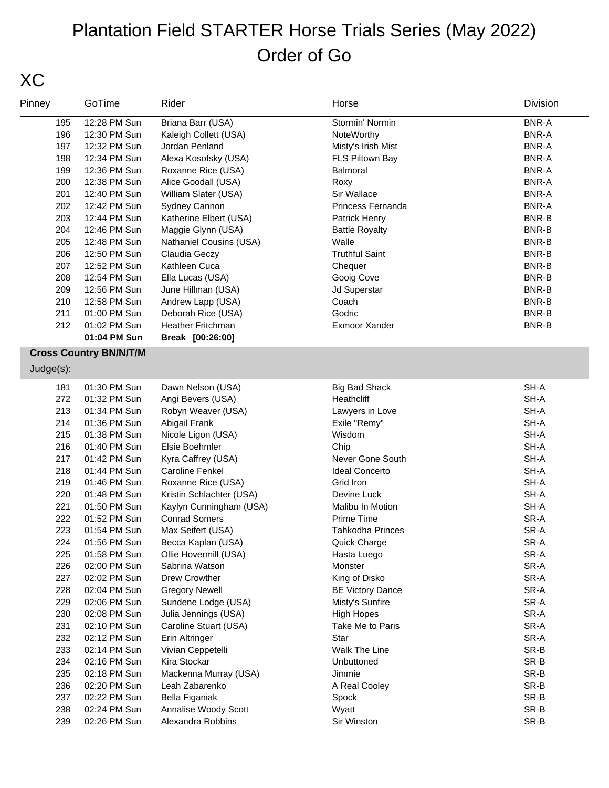### XC

| Pinney    | GoTime                        | Rider                    | Horse                   | Division     |
|-----------|-------------------------------|--------------------------|-------------------------|--------------|
| 195       | 12:28 PM Sun                  | Briana Barr (USA)        | Stormin' Normin         | <b>BNR-A</b> |
| 196       | 12:30 PM Sun                  | Kaleigh Collett (USA)    | NoteWorthy              | <b>BNR-A</b> |
| 197       | 12:32 PM Sun                  | Jordan Penland           | Misty's Irish Mist      | <b>BNR-A</b> |
| 198       | 12:34 PM Sun                  | Alexa Kosofsky (USA)     | FLS Piltown Bay         | <b>BNR-A</b> |
| 199       | 12:36 PM Sun                  | Roxanne Rice (USA)       | Balmoral                | <b>BNR-A</b> |
| 200       | 12:38 PM Sun                  | Alice Goodall (USA)      | Roxy                    | <b>BNR-A</b> |
| 201       | 12:40 PM Sun                  | William Slater (USA)     | Sir Wallace             | <b>BNR-A</b> |
| 202       | 12:42 PM Sun                  | Sydney Cannon            | Princess Fernanda       | <b>BNR-A</b> |
| 203       | 12:44 PM Sun                  | Katherine Elbert (USA)   | Patrick Henry           | BNR-B        |
| 204       | 12:46 PM Sun                  | Maggie Glynn (USA)       | <b>Battle Royalty</b>   | BNR-B        |
| 205       | 12:48 PM Sun                  | Nathaniel Cousins (USA)  | Walle                   | BNR-B        |
| 206       | 12:50 PM Sun                  | Claudia Geczy            | <b>Truthful Saint</b>   | BNR-B        |
| 207       | 12:52 PM Sun                  | Kathleen Cuca            | Chequer                 | BNR-B        |
| 208       | 12:54 PM Sun                  | Ella Lucas (USA)         | Gooig Cove              | BNR-B        |
| 209       | 12:56 PM Sun                  | June Hillman (USA)       | Jd Superstar            | BNR-B        |
| 210       | 12:58 PM Sun                  | Andrew Lapp (USA)        | Coach                   | BNR-B        |
| 211       | 01:00 PM Sun                  | Deborah Rice (USA)       | Godric                  | BNR-B        |
| 212       | 01:02 PM Sun                  | Heather Fritchman        | Exmoor Xander           | <b>BNR-B</b> |
|           | 01:04 PM Sun                  | Break [00:26:00]         |                         |              |
|           | <b>Cross Country BN/N/T/M</b> |                          |                         |              |
| Judge(s): |                               |                          |                         |              |
| 181       | 01:30 PM Sun                  | Dawn Nelson (USA)        | <b>Big Bad Shack</b>    | SH-A         |
| 272       | 01:32 PM Sun                  | Angi Bevers (USA)        | Heathcliff              | SH-A         |
| 213       | 01:34 PM Sun                  | Robyn Weaver (USA)       | Lawyers in Love         | SH-A         |
| 214       | 01:36 PM Sun                  | Abigail Frank            | Exile "Remy"            | SH-A         |
| 215       | 01:38 PM Sun                  | Nicole Ligon (USA)       | Wisdom                  | SH-A         |
| 216       | 01:40 PM Sun                  | Elsie Boehmler           | Chip                    | SH-A         |
| 217       | 01:42 PM Sun                  | Kyra Caffrey (USA)       | Never Gone South        | SH-A         |
| 218       | 01:44 PM Sun                  | <b>Caroline Fenkel</b>   | <b>Ideal Concerto</b>   | SH-A         |
| 219       | 01:46 PM Sun                  | Roxanne Rice (USA)       | Grid Iron               | SH-A         |
| 220       | 01:48 PM Sun                  | Kristin Schlachter (USA) | Devine Luck             | SH-A         |
| 221       | 01:50 PM Sun                  | Kaylyn Cunningham (USA)  | Malibu In Motion        | SH-A         |
| 222       | 01:52 PM Sun                  | <b>Conrad Somers</b>     | Prime Time              | SR-A         |
| 223       | 01:54 PM Sun                  | Max Seifert (USA)        | <b>Tahkodha Princes</b> | SR-A         |
| 224       | 01:56 PM Sun                  | Becca Kaplan (USA)       | Quick Charge            | SR-A         |
| 225       | 01:58 PM Sun                  | Ollie Hovermill (USA)    | Hasta Luego             | SR-A         |
| 226       | 02:00 PM Sun                  | Sabrina Watson           | Monster                 | SR-A         |
| 227       | 02:02 PM Sun                  | Drew Crowther            | King of Disko           | SR-A         |
| 228       | 02:04 PM Sun                  | <b>Gregory Newell</b>    | <b>BE Victory Dance</b> | SR-A         |
| 229       | 02:06 PM Sun                  | Sundene Lodge (USA)      | Misty's Sunfire         | SR-A         |
| 230       | 02:08 PM Sun                  | Julia Jennings (USA)     | <b>High Hopes</b>       | SR-A         |
| 231       | 02:10 PM Sun                  | Caroline Stuart (USA)    | Take Me to Paris        | SR-A         |
| 232       | 02:12 PM Sun                  | Erin Altringer           | Star                    | SR-A         |
| 233       | 02:14 PM Sun                  | Vivian Ceppetelli        | Walk The Line           | SR-B         |
| 234       | 02:16 PM Sun                  | Kira Stockar             | Unbuttoned              | SR-B         |
| 235       | 02:18 PM Sun                  | Mackenna Murray (USA)    | Jimmie                  | SR-B         |
| 236       | 02:20 PM Sun                  | Leah Zabarenko           | A Real Cooley           | SR-B         |
| 237       | 02:22 PM Sun                  | Bella Figaniak           | Spock                   | SR-B         |
| 238       | 02:24 PM Sun                  | Annalise Woody Scott     | Wyatt                   | SR-B         |
| 239       | 02:26 PM Sun                  | Alexandra Robbins        | Sir Winston             | SR-B         |
|           |                               |                          |                         |              |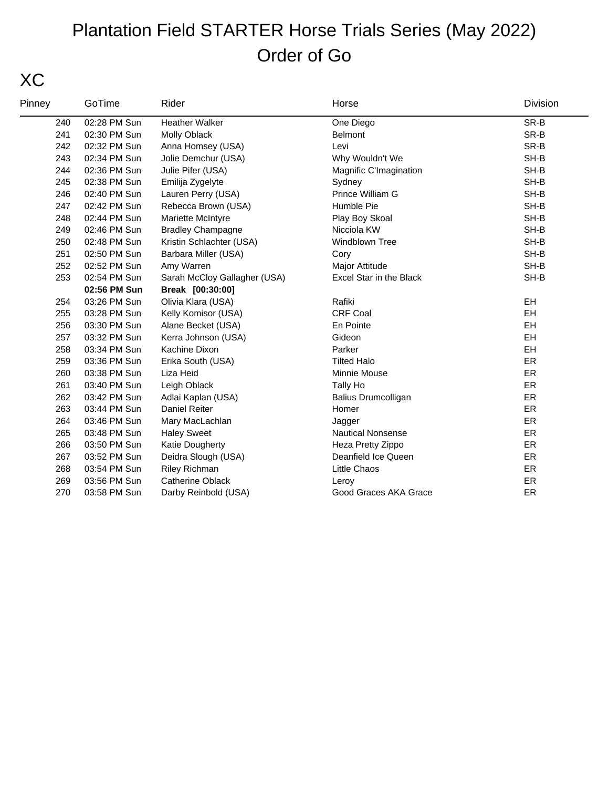## XC

| Pinney | GoTime       | Rider                        | Horse                      | Division  |
|--------|--------------|------------------------------|----------------------------|-----------|
| 240    | 02:28 PM Sun | Heather Walker               | One Diego                  | SR-B      |
| 241    | 02:30 PM Sun | Molly Oblack                 | <b>Belmont</b>             | SR-B      |
| 242    | 02:32 PM Sun | Anna Homsey (USA)            | Levi                       | SR-B      |
| 243    | 02:34 PM Sun | Jolie Demchur (USA)          | Why Wouldn't We            | SH-B      |
| 244    | 02:36 PM Sun | Julie Pifer (USA)            | Magnific C'Imagination     | SH-B      |
| 245    | 02:38 PM Sun | Emilija Zygelyte             | Sydney                     | SH-B      |
| 246    | 02:40 PM Sun | Lauren Perry (USA)           | Prince William G           | SH-B      |
| 247    | 02:42 PM Sun | Rebecca Brown (USA)          | Humble Pie                 | SH-B      |
| 248    | 02:44 PM Sun | Mariette McIntyre            | Play Boy Skoal             | SH-B      |
| 249    | 02:46 PM Sun | <b>Bradley Champagne</b>     | Nicciola KW                | SH-B      |
| 250    | 02:48 PM Sun | Kristin Schlachter (USA)     | <b>Windblown Tree</b>      | SH-B      |
| 251    | 02:50 PM Sun | Barbara Miller (USA)         | Cory                       | SH-B      |
| 252    | 02:52 PM Sun | Amy Warren                   | Major Attitude             | SH-B      |
| 253    | 02:54 PM Sun | Sarah McCloy Gallagher (USA) | Excel Star in the Black    | SH-B      |
|        | 02:56 PM Sun | Break [00:30:00]             |                            |           |
| 254    | 03:26 PM Sun | Olivia Klara (USA)           | Rafiki                     | <b>EH</b> |
| 255    | 03:28 PM Sun | Kelly Komisor (USA)          | <b>CRF Coal</b>            | EH        |
| 256    | 03:30 PM Sun | Alane Becket (USA)           | En Pointe                  | EH        |
| 257    | 03:32 PM Sun | Kerra Johnson (USA)          | Gideon                     | EH        |
| 258    | 03:34 PM Sun | Kachine Dixon                | Parker                     | EH        |
| 259    | 03:36 PM Sun | Erika South (USA)            | <b>Tilted Halo</b>         | ER        |
| 260    | 03:38 PM Sun | Liza Heid                    | Minnie Mouse               | <b>ER</b> |
| 261    | 03:40 PM Sun | Leigh Oblack                 | Tally Ho                   | <b>ER</b> |
| 262    | 03:42 PM Sun | Adlai Kaplan (USA)           | <b>Balius Drumcolligan</b> | ER        |
| 263    | 03:44 PM Sun | <b>Daniel Reiter</b>         | Homer                      | <b>ER</b> |
| 264    | 03:46 PM Sun | Mary MacLachlan              | Jagger                     | ER        |
| 265    | 03:48 PM Sun | <b>Haley Sweet</b>           | <b>Nautical Nonsense</b>   | ER        |
| 266    | 03:50 PM Sun | Katie Dougherty              | Heza Pretty Zippo          | ER        |
| 267    | 03:52 PM Sun | Deidra Slough (USA)          | Deanfield Ice Queen        | ER        |
| 268    | 03:54 PM Sun | <b>Riley Richman</b>         | <b>Little Chaos</b>        | <b>ER</b> |
| 269    | 03:56 PM Sun | <b>Catherine Oblack</b>      | Leroy                      | ER        |
| 270    | 03:58 PM Sun | Darby Reinbold (USA)         | Good Graces AKA Grace      | ER        |